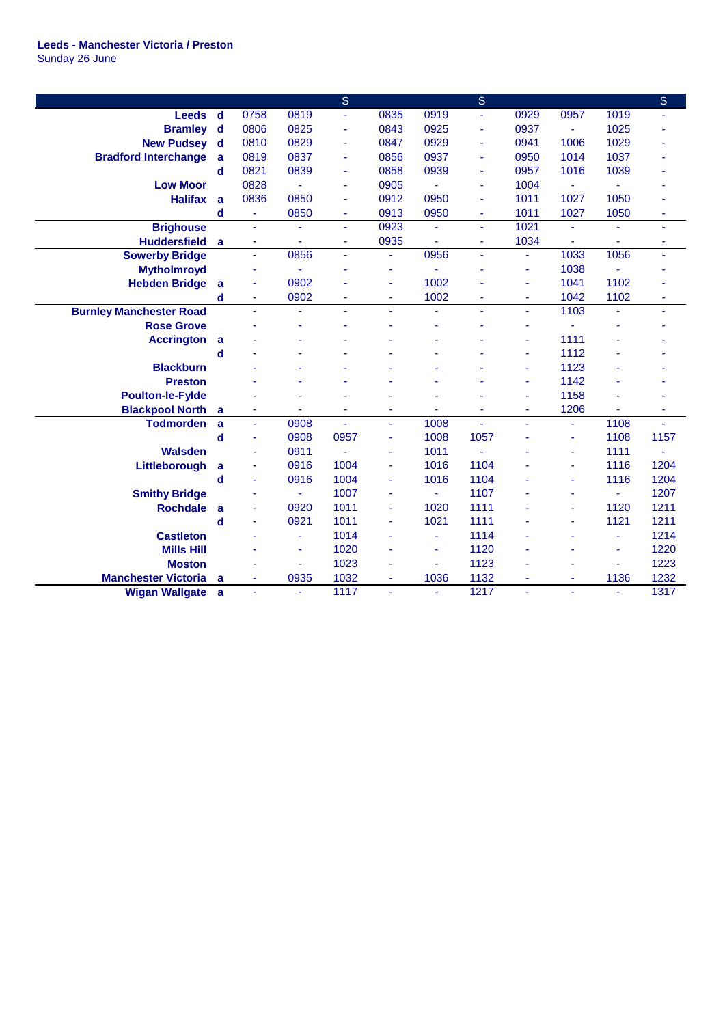## **Leeds - Manchester Victoria / Preston** Sunday 26 June

|                                |             |                          |      | $\mathsf{S}$ |      |      | $\mathsf{S}$   |                |                |      | $\mathsf{S}$ |
|--------------------------------|-------------|--------------------------|------|--------------|------|------|----------------|----------------|----------------|------|--------------|
| <b>Leeds</b>                   | $\mathbf d$ | 0758                     | 0819 | ÷.           | 0835 | 0919 | ä,             | 0929           | 0957           | 1019 |              |
| <b>Bramley</b>                 | $\mathbf d$ | 0806                     | 0825 | ٠            | 0843 | 0925 | ä,             | 0937           | ÷.             | 1025 |              |
| <b>New Pudsey</b>              | $\mathbf d$ | 0810                     | 0829 | ٠            | 0847 | 0929 | ä,             | 0941           | 1006           | 1029 |              |
| <b>Bradford Interchange</b>    | a           | 0819                     | 0837 | ٠            | 0856 | 0937 | ä,             | 0950           | 1014           | 1037 |              |
|                                | d           | 0821                     | 0839 | ä,           | 0858 | 0939 | ä,             | 0957           | 1016           | 1039 |              |
| <b>Low Moor</b>                |             | 0828                     | ä,   | ä,           | 0905 | ä,   | ä,             | 1004           |                | L,   |              |
| <b>Halifax</b>                 | a           | 0836                     | 0850 | ä,           | 0912 | 0950 | ä,             | 1011           | 1027           | 1050 |              |
|                                | $\mathbf d$ | $\blacksquare$           | 0850 | ٠            | 0913 | 0950 | $\blacksquare$ | 1011           | 1027           | 1050 | ٠            |
| <b>Brighouse</b>               |             | $\omega$                 |      | u.           | 0923 | ٠    | ä,             | 1021           | $\blacksquare$ | ä,   | ä,           |
| <b>Huddersfield</b>            | a           | $\overline{\phantom{a}}$ | ä,   | ٠            | 0935 | ä,   | ÷,             | 1034           |                | ä,   | ٠            |
| <b>Sowerby Bridge</b>          |             | ä,                       | 0856 | ä,           | ä,   | 0956 | ä,             | ä,             | 1033           | 1056 | ä,           |
| <b>Mytholmroyd</b>             |             | ÷                        |      |              | ä,   |      |                | ÷              | 1038           |      |              |
| <b>Hebden Bridge</b>           | a           | ÷,                       | 0902 |              | ä,   | 1002 |                | ÷,             | 1041           | 1102 |              |
|                                | d           | ä,                       | 0902 | ä,           | ä,   | 1002 |                | ÷,             | 1042           | 1102 | ٠            |
| <b>Burnley Manchester Road</b> |             | $\omega$                 | ä,   | u.           | ٠    | ä,   | ÷.             | ÷,             | 1103           | ä,   | ä,           |
| <b>Rose Grove</b>              |             |                          |      |              | ÷    |      |                | ٠              |                |      |              |
| <b>Accrington</b>              | a           |                          |      |              |      |      |                | ÷,             | 1111           |      |              |
|                                | d           |                          |      |              |      |      |                | ä,             | 1112           |      |              |
| <b>Blackburn</b>               |             |                          |      |              |      |      |                | ÷,             | 1123           |      |              |
| <b>Preston</b>                 |             |                          |      |              |      |      |                | $\blacksquare$ | 1142           |      |              |
| <b>Poulton-le-Fylde</b>        |             |                          |      |              |      |      |                | ٠              | 1158           |      |              |
| <b>Blackpool North</b>         | a           | $\blacksquare$           |      | ä,           | ٠    | ٠    | ä,             | $\blacksquare$ | 1206           | ÷.   | ٠            |
| <b>Todmorden</b>               | a           | $\blacksquare$           | 0908 | ÷.           | ÷    | 1008 | ä,             | $\blacksquare$ | ÷              | 1108 |              |
|                                | $\mathbf d$ | ä,                       | 0908 | 0957         | ä,   | 1008 | 1057           |                | ä,             | 1108 | 1157         |
| <b>Walsden</b>                 |             | ä,                       | 0911 | ä,           | ä,   | 1011 | ä,             |                | ä,             | 1111 |              |
| Littleborough                  | a           | ÷,                       | 0916 | 1004         | ä,   | 1016 | 1104           |                |                | 1116 | 1204         |
|                                | $\mathbf d$ | ÷,                       | 0916 | 1004         | ä,   | 1016 | 1104           |                | ä,             | 1116 | 1204         |
| <b>Smithy Bridge</b>           |             |                          | ٠    | 1007         | ä,   |      | 1107           |                |                | ä,   | 1207         |
| <b>Rochdale</b>                | a           |                          | 0920 | 1011         | ä,   | 1020 | 1111           |                |                | 1120 | 1211         |
|                                | $\mathbf d$ |                          | 0921 | 1011         | ä,   | 1021 | 1111           |                |                | 1121 | 1211         |
| <b>Castleton</b>               |             |                          | ä,   | 1014         | ä,   | ä    | 1114           |                |                | ä,   | 1214         |
| <b>Mills Hill</b>              |             |                          | ä,   | 1020         | L,   | ä    | 1120           |                |                | ä,   | 1220         |
| <b>Moston</b>                  |             |                          |      | 1023         | ٠    |      | 1123           |                |                |      | 1223         |
| <b>Manchester Victoria</b>     | a           |                          | 0935 | 1032         | ÷    | 1036 | 1132           |                | ٠              | 1136 | 1232         |
| <b>Wigan Wallgate</b>          | a           | $\overline{\phantom{a}}$ | ä,   | 1117         | ä,   |      | 1217           | ÷,             |                | ä,   | 1317         |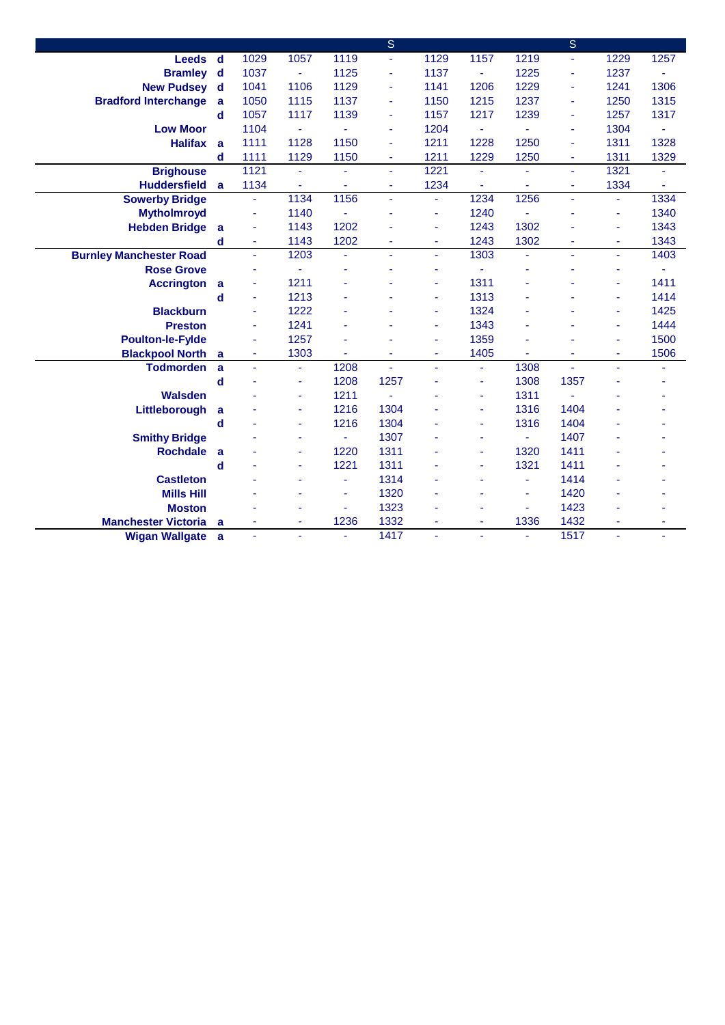|                                |              |      |                          |      | $\overline{\mathsf{s}}$ |                |      |      | $\overline{\mathbf{S}}$ |      |      |
|--------------------------------|--------------|------|--------------------------|------|-------------------------|----------------|------|------|-------------------------|------|------|
| <b>Leeds</b>                   | $\mathsf{d}$ | 1029 | 1057                     | 1119 | ä,                      | 1129           | 1157 | 1219 | ÷.                      | 1229 | 1257 |
| <b>Bramley</b>                 | $\mathbf d$  | 1037 | $\blacksquare$           | 1125 | ä,                      | 1137           | ÷.   | 1225 | ä,                      | 1237 |      |
| <b>New Pudsey</b>              | $\mathbf d$  | 1041 | 1106                     | 1129 | ä,                      | 1141           | 1206 | 1229 | ä,                      | 1241 | 1306 |
| <b>Bradford Interchange</b>    | a            | 1050 | 1115                     | 1137 | ٠                       | 1150           | 1215 | 1237 | ٠                       | 1250 | 1315 |
|                                | $\mathbf d$  | 1057 | 1117                     | 1139 | ٠                       | 1157           | 1217 | 1239 | ÷                       | 1257 | 1317 |
| <b>Low Moor</b>                |              | 1104 | ÷                        |      | ٠                       | 1204           | ä,   |      | ÷                       | 1304 | ä,   |
| <b>Halifax</b>                 | a            | 1111 | 1128                     | 1150 | ÷.                      | 1211           | 1228 | 1250 | $\blacksquare$          | 1311 | 1328 |
|                                | d            | 1111 | 1129                     | 1150 | ٠                       | 1211           | 1229 | 1250 | ٠                       | 1311 | 1329 |
| <b>Brighouse</b>               |              | 1121 | $\blacksquare$           |      | ÷.                      | 1221           | ä,   | ä,   | ÷,                      | 1321 | ä,   |
| <b>Huddersfield</b>            | a            | 1134 | $\blacksquare$           |      | ä,                      | 1234           | ä,   | ä,   | Ξ                       | 1334 | ä,   |
| <b>Sowerby Bridge</b>          |              | ä,   | 1134                     | 1156 | ä,                      | $\blacksquare$ | 1234 | 1256 | ÷,                      | ÷.   | 1334 |
| <b>Mytholmroyd</b>             |              | ä,   | 1140                     | ÷.   |                         | ٠              | 1240 | ä,   |                         | ä,   | 1340 |
| <b>Hebden Bridge</b>           | a            | ÷    | 1143                     | 1202 |                         | ٠              | 1243 | 1302 |                         | ä,   | 1343 |
|                                | d            | ä,   | 1143                     | 1202 | ÷.                      | ٠              | 1243 | 1302 | ÷                       | ä,   | 1343 |
| <b>Burnley Manchester Road</b> |              | ä,   | 1203                     |      | ÷.                      | ٠              | 1303 | ä,   | ÷                       | ä,   | 1403 |
| <b>Rose Grove</b>              |              |      |                          |      | ä,                      | ä,             |      |      |                         | ä,   |      |
| <b>Accrington</b>              | a            | ä,   | 1211                     |      |                         | ٠              | 1311 |      |                         | ä    | 1411 |
|                                | $\mathbf d$  | ä,   | 1213                     |      |                         | ÷              | 1313 |      |                         | ä,   | 1414 |
| <b>Blackburn</b>               |              | ÷,   | 1222                     |      |                         | ÷              | 1324 |      |                         | ä    | 1425 |
| <b>Preston</b>                 |              | ä,   | 1241                     |      |                         | ٠              | 1343 |      |                         | ä,   | 1444 |
| <b>Poulton-le-Fylde</b>        |              | ä,   | 1257                     |      |                         | ä,             | 1359 |      |                         | ä,   | 1500 |
| <b>Blackpool North</b>         | a            | ä,   | 1303                     |      | ä,                      | ٠              | 1405 | ä,   |                         | ä,   | 1506 |
| <b>Todmorden</b>               | a            | ä,   | $\blacksquare$           | 1208 | ä,                      | ÷.             | ä,   | 1308 |                         | ä,   | ä,   |
|                                | d            |      | $\overline{\phantom{a}}$ | 1208 | 1257                    | ä              | ä,   | 1308 | 1357                    |      |      |
| <b>Walsden</b>                 |              |      | ٠                        | 1211 | $\blacksquare$          |                | ä,   | 1311 |                         |      |      |
| Littleborough                  | a            |      | $\blacksquare$           | 1216 | 1304                    |                | ä,   | 1316 | 1404                    |      |      |
|                                | d            |      | ٠                        | 1216 | 1304                    |                | ٠    | 1316 | 1404                    |      |      |
| <b>Smithy Bridge</b>           |              |      | $\blacksquare$           |      | 1307                    |                |      | ÷.   | 1407                    |      |      |
| <b>Rochdale</b>                | a            |      | ä,                       | 1220 | 1311                    |                | ä,   | 1320 | 1411                    |      |      |
|                                | $\mathbf d$  |      | $\blacksquare$           | 1221 | 1311                    |                | ÷.   | 1321 | 1411                    |      |      |
| <b>Castleton</b>               |              |      |                          |      | 1314                    |                |      | ٠    | 1414                    |      |      |
| <b>Mills Hill</b>              |              |      | $\overline{\phantom{a}}$ | ٠    | 1320                    | ä,             |      | ä,   | 1420                    | L    |      |
| <b>Moston</b>                  |              |      |                          | ä,   | 1323                    |                |      | ä,   | 1423                    |      |      |
| <b>Manchester Victoria</b>     | a            | ÷    | $\blacksquare$           | 1236 | 1332                    | ٠              | ٠    | 1336 | 1432                    | ÷    | ٠    |
| <b>Wigan Wallgate</b>          | a            | ä,   | ä,                       |      | 1417                    | ÷,             |      | ä,   | 1517                    | ÷.   |      |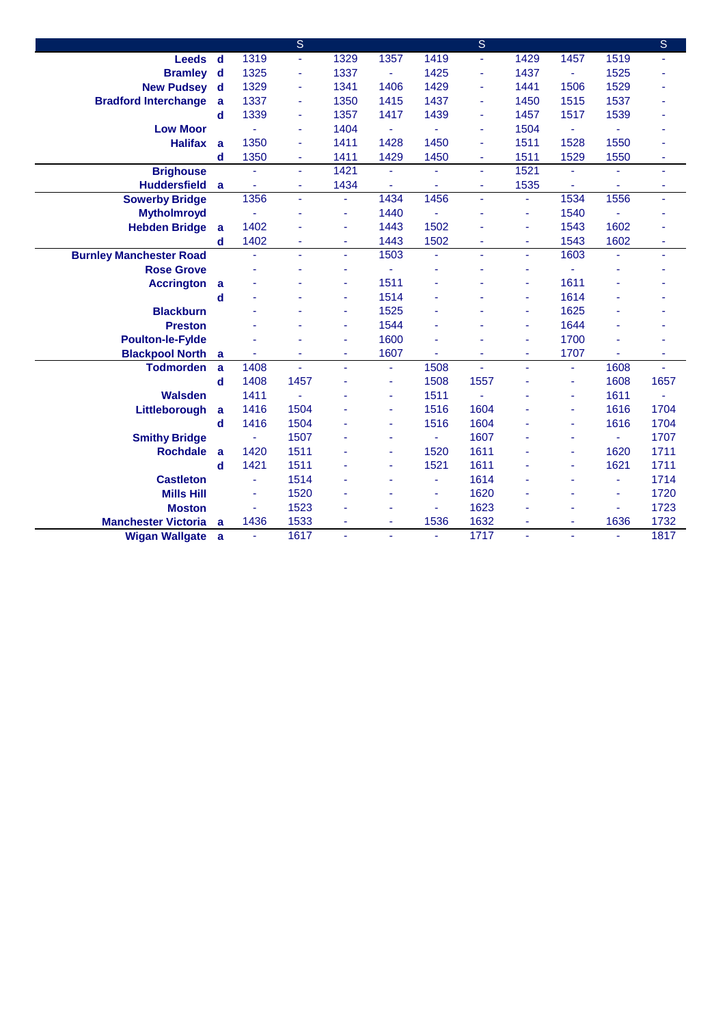|                                |             |                | $\overline{\mathbf{s}}$ |                          |      |      | S    |                |                          |      | $\overline{\mathsf{s}}$ |
|--------------------------------|-------------|----------------|-------------------------|--------------------------|------|------|------|----------------|--------------------------|------|-------------------------|
| <b>Leeds</b>                   | <b>d</b>    | 1319           | $\blacksquare$          | 1329                     | 1357 | 1419 | ä,   | 1429           | 1457                     | 1519 | ٠                       |
| <b>Bramley</b>                 | d           | 1325           | $\blacksquare$          | 1337                     | ä,   | 1425 | ÷    | 1437           | $\omega$                 | 1525 |                         |
| <b>New Pudsey</b>              | d           | 1329           | $\blacksquare$          | 1341                     | 1406 | 1429 | ä,   | 1441           | 1506                     | 1529 |                         |
| <b>Bradford Interchange</b>    | a           | 1337           | ÷                       | 1350                     | 1415 | 1437 | L,   | 1450           | 1515                     | 1537 |                         |
|                                | d           | 1339           | ä,                      | 1357                     | 1417 | 1439 | ä,   | 1457           | 1517                     | 1539 |                         |
| <b>Low Moor</b>                |             | ä,             | ä,                      | 1404                     | ä,   |      | L,   | 1504           | $\blacksquare$           | ä,   |                         |
| <b>Halifax</b>                 | a           | 1350           | ä,                      | 1411                     | 1428 | 1450 | L,   | 1511           | 1528                     | 1550 |                         |
|                                | d           | 1350           | ٠                       | 1411                     | 1429 | 1450 | ٠    | 1511           | 1529                     | 1550 | ٠                       |
| <b>Brighouse</b>               |             | ä,             | $\blacksquare$          | 1421                     | ÷.   | ä,   | ÷.   | 1521           |                          |      | ÷                       |
| <b>Huddersfield</b>            | a           |                | $\sim$                  | 1434                     | ä,   | ٠    | ä,   | 1535           |                          | ÷.   | ٠                       |
| <b>Sowerby Bridge</b>          |             | 1356           | $\sim$                  |                          | 1434 | 1456 | L,   | $\blacksquare$ | 1534                     | 1556 | ä,                      |
| <b>Mytholmroyd</b>             |             |                | ä,                      |                          | 1440 |      |      | ٠              | 1540                     |      |                         |
| <b>Hebden Bridge</b>           | a           | 1402           |                         |                          | 1443 | 1502 |      | ÷,             | 1543                     | 1602 |                         |
|                                | d           | 1402           | ÷                       | ٠                        | 1443 | 1502 | ä    | ٠              | 1543                     | 1602 | ٠                       |
| <b>Burnley Manchester Road</b> |             | $\blacksquare$ | ä,                      | $\blacksquare$           | 1503 | ä,   | ä,   | ÷              | 1603                     |      | ٠                       |
| <b>Rose Grove</b>              |             |                |                         |                          | ä,   | ٠    |      | ÷              |                          |      |                         |
| <b>Accrington</b>              | a           |                |                         | ٠                        | 1511 | ÷    |      | $\blacksquare$ | 1611                     |      |                         |
|                                | $\mathbf d$ |                |                         | ٠                        | 1514 | ۰    |      | $\blacksquare$ | 1614                     |      |                         |
| <b>Blackburn</b>               |             |                |                         | ÷                        | 1525 |      |      | ÷              | 1625                     |      |                         |
| <b>Preston</b>                 |             |                |                         |                          | 1544 |      |      | $\blacksquare$ | 1644                     |      |                         |
| <b>Poulton-le-Fylde</b>        |             |                |                         |                          | 1600 |      |      | $\blacksquare$ | 1700                     |      |                         |
| <b>Blackpool North</b>         | a           |                |                         | $\blacksquare$           | 1607 | ä,   |      | ä,             | 1707                     | ä,   | ÷                       |
| <b>Todmorden</b>               | a           | 1408           |                         | ä,                       | ä,   | 1508 |      | ä,             | $\blacksquare$           | 1608 |                         |
|                                | $\mathbf d$ | 1408           | 1457                    |                          | ä,   | 1508 | 1557 |                | $\blacksquare$           | 1608 | 1657                    |
| <b>Walsden</b>                 |             | 1411           |                         |                          | ä,   | 1511 |      |                |                          | 1611 |                         |
| Littleborough                  | a           | 1416           | 1504                    |                          | ÷.   | 1516 | 1604 |                |                          | 1616 | 1704                    |
|                                | d           | 1416           | 1504                    |                          | ٠    | 1516 | 1604 |                |                          | 1616 | 1704                    |
| <b>Smithy Bridge</b>           |             | ٠              | 1507                    |                          | ä,   |      | 1607 |                |                          | ÷,   | 1707                    |
| <b>Rochdale</b>                | a           | 1420           | 1511                    |                          | ٠    | 1520 | 1611 |                |                          | 1620 | 1711                    |
|                                | d           | 1421           | 1511                    |                          | ٠    | 1521 | 1611 |                | $\overline{\phantom{a}}$ | 1621 | 1711                    |
| <b>Castleton</b>               |             | ä,             | 1514                    |                          |      | ۰    | 1614 |                |                          | ä,   | 1714                    |
| <b>Mills Hill</b>              |             | $\blacksquare$ | 1520                    |                          | ä,   | ÷    | 1620 | ä,             |                          | ä,   | 1720                    |
| <b>Moston</b>                  |             | ä,             | 1523                    |                          | ٠    | ÷    | 1623 | ٠              |                          | ä,   | 1723                    |
| <b>Manchester Victoria</b>     | a           | 1436           | 1533                    | $\overline{\phantom{a}}$ | ٠    | 1536 | 1632 | $\blacksquare$ | $\blacksquare$           | 1636 | 1732                    |
| <b>Wigan Wallgate</b>          | a           | $\omega$       | 1617                    | $\blacksquare$           | ÷.   | ä,   | 1717 | ÷,             |                          | ä,   | 1817                    |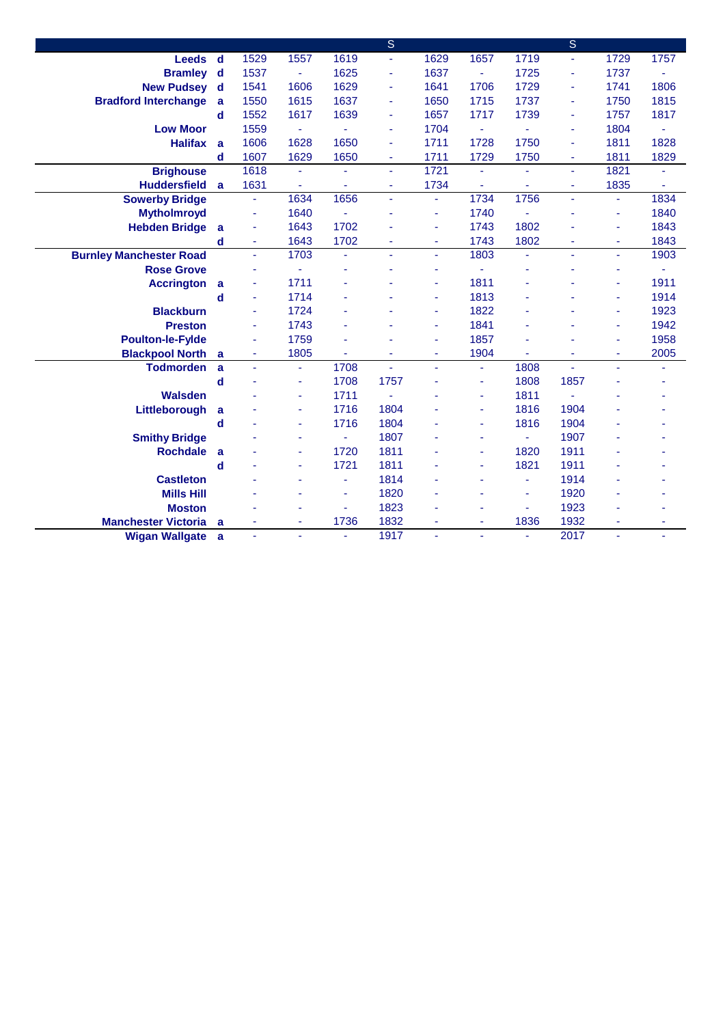|                                |              |      |                          |                | $\overline{\mathsf{s}}$ |      |                |      | $\overline{\mathbf{S}}$ |      |      |
|--------------------------------|--------------|------|--------------------------|----------------|-------------------------|------|----------------|------|-------------------------|------|------|
| <b>Leeds</b>                   | $\mathsf{d}$ | 1529 | 1557                     | 1619           | ä,                      | 1629 | 1657           | 1719 | ÷,                      | 1729 | 1757 |
| <b>Bramley</b>                 | $\mathbf d$  | 1537 | $\blacksquare$           | 1625           | ä,                      | 1637 |                | 1725 | ä,                      | 1737 |      |
| <b>New Pudsey</b>              | d            | 1541 | 1606                     | 1629           | ä,                      | 1641 | 1706           | 1729 | ä,                      | 1741 | 1806 |
| <b>Bradford Interchange</b>    | a            | 1550 | 1615                     | 1637           | ٠                       | 1650 | 1715           | 1737 | ٠                       | 1750 | 1815 |
|                                | $\mathbf d$  | 1552 | 1617                     | 1639           | ٠                       | 1657 | 1717           | 1739 | ÷                       | 1757 | 1817 |
| <b>Low Moor</b>                |              | 1559 | ÷                        |                | ä,                      | 1704 | ä,             |      | ÷                       | 1804 | ä,   |
| <b>Halifax</b>                 | a            | 1606 | 1628                     | 1650           | ٠                       | 1711 | 1728           | 1750 | ٠                       | 1811 | 1828 |
|                                | d            | 1607 | 1629                     | 1650           | ٠                       | 1711 | 1729           | 1750 | ٠                       | 1811 | 1829 |
| <b>Brighouse</b>               |              | 1618 | $\blacksquare$           |                | ÷.                      | 1721 | ä,             | ä,   | u.                      | 1821 | ä,   |
| <b>Huddersfield</b>            | a            | 1631 | $\blacksquare$           |                | ä,                      | 1734 | ä,             | ä,   | Ξ                       | 1835 | ä,   |
| <b>Sowerby Bridge</b>          |              | ÷.   | 1634                     | 1656           | ä,                      | ÷    | 1734           | 1756 | ÷,                      | ÷.   | 1834 |
| <b>Mytholmroyd</b>             |              | ä,   | 1640                     | ÷,             |                         | ٠    | 1740           | ä,   |                         | ä,   | 1840 |
| <b>Hebden Bridge</b>           | a            |      | 1643                     | 1702           |                         | ٠    | 1743           | 1802 |                         | ä,   | 1843 |
|                                | d            | ä,   | 1643                     | 1702           | ÷.                      | ٠    | 1743           | 1802 | ÷                       | ä,   | 1843 |
| <b>Burnley Manchester Road</b> |              | ä,   | 1703                     |                | ÷.                      | ٠    | 1803           | ä,   | ÷                       | ä,   | 1903 |
| <b>Rose Grove</b>              |              |      |                          |                |                         | ä    |                |      |                         | ä,   |      |
| <b>Accrington</b>              | a            | ä,   | 1711                     |                |                         | ٠    | 1811           |      |                         | ٠    | 1911 |
|                                | d            | ä,   | 1714                     |                |                         | ÷    | 1813           |      |                         | ä,   | 1914 |
| <b>Blackburn</b>               |              | ä,   | 1724                     |                |                         | ÷    | 1822           |      |                         | ä    | 1923 |
| <b>Preston</b>                 |              | ä,   | 1743                     |                |                         | ٠    | 1841           |      |                         | ä,   | 1942 |
| <b>Poulton-le-Fylde</b>        |              | ä,   | 1759                     |                |                         | ÷    | 1857           |      |                         | ä,   | 1958 |
| <b>Blackpool North</b>         | a            | ä,   | 1805                     |                | ä,                      | ä,   | 1904           |      |                         | ä,   | 2005 |
| <b>Todmorden</b>               | a            | ä,   | $\blacksquare$           | 1708           | ä,                      | ÷.   | ä,             | 1808 |                         | ä,   |      |
|                                | d            |      | $\overline{\phantom{a}}$ | 1708           | 1757                    |      | ä,             | 1808 | 1857                    |      |      |
| <b>Walsden</b>                 |              |      | $\blacksquare$           | 1711           | $\blacksquare$          |      | ä,             | 1811 |                         |      |      |
| Littleborough                  | a            |      | $\blacksquare$           | 1716           | 1804                    |      | ä,             | 1816 | 1904                    |      |      |
|                                | d            |      | ÷                        | 1716           | 1804                    |      | ٠              | 1816 | 1904                    |      |      |
| <b>Smithy Bridge</b>           |              |      | $\blacksquare$           |                | 1807                    |      |                | ÷.   | 1907                    |      |      |
| <b>Rochdale</b>                | a            |      | ä,                       | 1720           | 1811                    |      | ä,             | 1820 | 1911                    |      |      |
|                                | $\mathbf d$  |      | $\blacksquare$           | 1721           | 1811                    |      | ٠              | 1821 | 1911                    |      |      |
| <b>Castleton</b>               |              |      |                          |                | 1814                    |      |                | ٠    | 1914                    |      |      |
| <b>Mills Hill</b>              |              |      | ÷,                       | $\blacksquare$ | 1820                    |      |                | ä,   | 1920                    |      |      |
| <b>Moston</b>                  |              |      |                          | $\blacksquare$ | 1823                    |      |                | ä,   | 1923                    |      |      |
| <b>Manchester Victoria</b>     | a            | ٠    | $\blacksquare$           | 1736           | 1832                    | ٠    | $\blacksquare$ | 1836 | 1932                    | ä,   | ٠    |
| <b>Wigan Wallgate</b>          | a            | ä,   | ä,                       |                | 1917                    | ä,   |                | ä,   | 2017                    | ÷.   |      |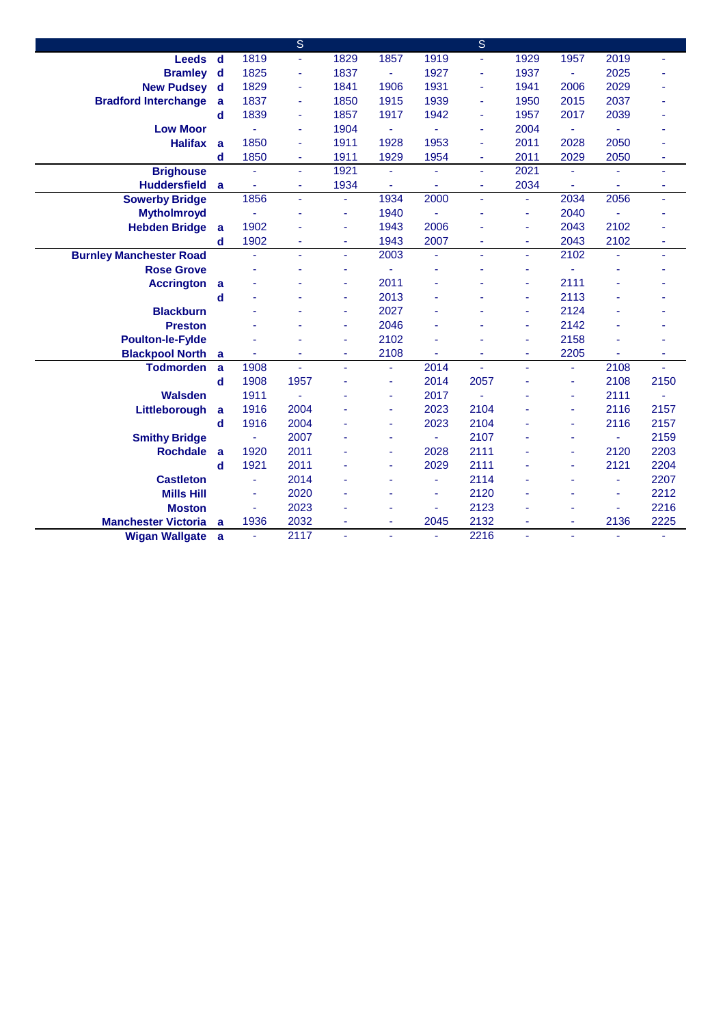|                                |              |      | $\overline{\mathbf{s}}$  |                |                |      | S              |      |                |      |      |
|--------------------------------|--------------|------|--------------------------|----------------|----------------|------|----------------|------|----------------|------|------|
| <b>Leeds</b>                   | $\mathbf d$  | 1819 | $\blacksquare$           | 1829           | 1857           | 1919 | ä              | 1929 | 1957           | 2019 | ٠    |
| <b>Bramley</b>                 | d            | 1825 | ÷                        | 1837           | $\omega$       | 1927 | ä,             | 1937 | ٠              | 2025 |      |
| <b>New Pudsey</b>              | d            | 1829 | $\overline{\phantom{a}}$ | 1841           | 1906           | 1931 | ä,             | 1941 | 2006           | 2029 |      |
| <b>Bradford Interchange</b>    | a            | 1837 | ٠                        | 1850           | 1915           | 1939 | ä,             | 1950 | 2015           | 2037 |      |
|                                | d            | 1839 | $\overline{\phantom{a}}$ | 1857           | 1917           | 1942 | ä,             | 1957 | 2017           | 2039 |      |
| <b>Low Moor</b>                |              |      | $\overline{\phantom{a}}$ | 1904           | $\blacksquare$ |      | ä,             | 2004 | $\blacksquare$ | Ξ    |      |
| <b>Halifax</b>                 | a            | 1850 | $\blacksquare$           | 1911           | 1928           | 1953 | ä,             | 2011 | 2028           | 2050 |      |
|                                | d            | 1850 | $\overline{\phantom{a}}$ | 1911           | 1929           | 1954 | ä,             | 2011 | 2029           | 2050 |      |
| <b>Brighouse</b>               |              |      | $\omega$                 | 1921           | ä,             | ä,   | ä,             | 2021 |                |      | ÷.   |
| <b>Huddersfield</b>            | a            |      | $\overline{\phantom{a}}$ | 1934           | ä,             | ä,   | $\blacksquare$ | 2034 | ٠              |      | ٠    |
| <b>Sowerby Bridge</b>          |              | 1856 | $\blacksquare$           |                | 1934           | 2000 | ä,             | ä,   | 2034           | 2056 | ä,   |
| <b>Mytholmroyd</b>             |              |      | $\overline{\phantom{a}}$ | ۰              | 1940           |      |                | ä,   | 2040           | ÷.   |      |
| <b>Hebden Bridge</b>           | a            | 1902 |                          |                | 1943           | 2006 |                | ä,   | 2043           | 2102 |      |
|                                | d            | 1902 | ÷,                       | $\blacksquare$ | 1943           | 2007 |                | ä,   | 2043           | 2102 | ä,   |
| <b>Burnley Manchester Road</b> |              | ÷,   | $\blacksquare$           | ÷.             | 2003           | ä,   | ä,             | ٠    | 2102           |      | ä,   |
| <b>Rose Grove</b>              |              |      |                          |                | ä,             |      |                | ٠    |                |      |      |
| <b>Accrington</b>              | a            |      |                          | $\blacksquare$ | 2011           |      |                | ٠    | 2111           |      |      |
|                                | d            |      |                          | ۰              | 2013           |      |                | ä,   | 2113           |      |      |
| <b>Blackburn</b>               |              |      |                          | ٠              | 2027           |      |                | ٠    | 2124           |      |      |
| <b>Preston</b>                 |              |      |                          |                | 2046           |      |                | ä,   | 2142           |      |      |
| <b>Poulton-le-Fylde</b>        |              |      |                          |                | 2102           |      |                | ä,   | 2158           |      |      |
| <b>Blackpool North</b>         | a            |      |                          | ÷              | 2108           | ä,   |                | ä,   | 2205           | ÷.   |      |
| <b>Todmorden</b>               | $\mathbf{a}$ | 1908 |                          |                | ÷              | 2014 |                | ä,   | ÷              | 2108 |      |
|                                | $\mathbf d$  | 1908 | 1957                     |                | ä,             | 2014 | 2057           | ä,   | ä,             | 2108 | 2150 |
| <b>Walsden</b>                 |              | 1911 |                          |                | ٠              | 2017 |                |      | ٠              | 2111 |      |
| Littleborough                  | a            | 1916 | 2004                     |                | ä,             | 2023 | 2104           |      | ÷              | 2116 | 2157 |
|                                | $\mathbf d$  | 1916 | 2004                     |                | ٠              | 2023 | 2104           |      | ä,             | 2116 | 2157 |
| <b>Smithy Bridge</b>           |              |      | 2007                     |                | ä,             |      | 2107           |      |                | Ξ    | 2159 |
| <b>Rochdale</b>                | a            | 1920 | 2011                     |                | ÷              | 2028 | 2111           |      | ÷              | 2120 | 2203 |
|                                | d            | 1921 | 2011                     |                | ä,             | 2029 | 2111           |      | ۰              | 2121 | 2204 |
| <b>Castleton</b>               |              | ä,   | 2014                     |                | ٠              |      | 2114           |      | ٠              | ä,   | 2207 |
| <b>Mills Hill</b>              |              | ä,   | 2020                     |                | ÷              | ٠    | 2120           |      |                | ä,   | 2212 |
| <b>Moston</b>                  |              | ä,   | 2023                     |                | ä,             | ä,   | 2123           |      |                | ä,   | 2216 |
| <b>Manchester Victoria</b>     | a            | 1936 | 2032                     |                | ٠              | 2045 | 2132           |      | ÷              | 2136 | 2225 |
| <b>Wigan Wallgate</b>          | a            | ä,   | 2117                     |                | ä,             | ä,   | 2216           | ä,   |                | ä,   | ä,   |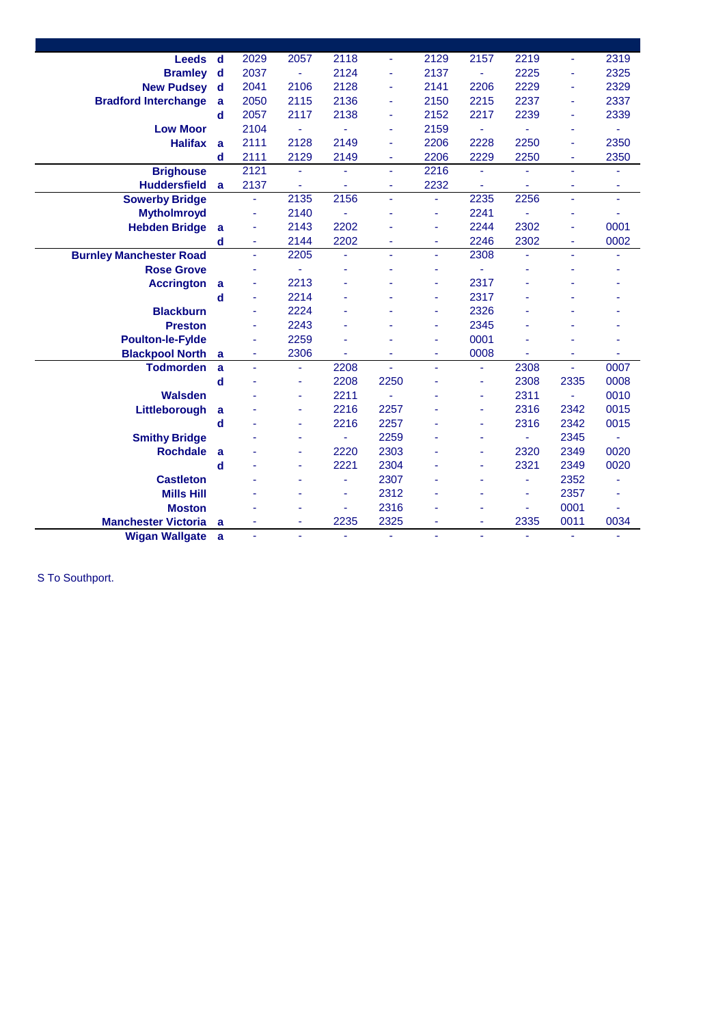| Leeds<br>d                       | 2029 | 2057           | 2118 | ÷.   | 2129 | 2157                | 2219                  | ÷,   | 2319                |
|----------------------------------|------|----------------|------|------|------|---------------------|-----------------------|------|---------------------|
| <b>Bramley</b><br>$\mathbf d$    | 2037 | ÷              | 2124 | ÷    | 2137 | $\bar{\phantom{a}}$ | 2225                  | ٠    | 2325                |
| <b>New Pudsey</b><br>$\mathbf d$ | 2041 | 2106           | 2128 | ÷    | 2141 | 2206                | 2229                  | ٠    | 2329                |
| a                                | 2050 | 2115           | 2136 | ۰    | 2150 | 2215                | 2237                  | ٠    | 2337                |
| d                                | 2057 | 2117           | 2138 | ۰    | 2152 | 2217                | 2239                  | ٠    | 2339                |
|                                  | 2104 | ä,             |      | ٠    | 2159 | L,                  | $\tilde{\phantom{a}}$ | ٠    |                     |
| a                                | 2111 | 2128           | 2149 | ä    | 2206 | 2228                | 2250                  | ÷    | 2350                |
| d                                | 2111 | 2129           | 2149 | ۰    | 2206 | 2229                | 2250                  | ۰    | 2350                |
|                                  | 2121 |                |      | ÷,   | 2216 |                     |                       | ä,   |                     |
| a                                | 2137 | ٠              |      | ٠    | 2232 |                     | ä,                    | ٠    | ٠                   |
|                                  | ä,   | 2135           | 2156 | ä,   | ä,   | 2235                | 2256                  | ä,   | $\bar{\phantom{a}}$ |
|                                  | ÷    | 2140           |      | ä    | ٠    | 2241                |                       |      |                     |
| a                                | ٠    | 2143           | 2202 |      | ٠    | 2244                | 2302                  | ÷    | 0001                |
| $\mathbf d$                      | ٠    | 2144           | 2202 | ۰    | ÷    | 2246                | 2302                  | ٠    | 0002                |
|                                  | ä,   | 2205           | ٠    | ä,   | ä,   | 2308                | ٠                     | ä,   |                     |
|                                  | ÷    | ä,             |      |      |      |                     |                       |      |                     |
| a                                | ä,   | 2213           |      |      | ٠    | 2317                |                       |      |                     |
| d                                | ä,   | 2214           |      |      | ä,   | 2317                |                       |      |                     |
|                                  | ä,   | 2224           |      |      | ÷    | 2326                |                       |      |                     |
|                                  | ä,   | 2243           |      |      | ÷    | 2345                |                       |      |                     |
|                                  | ٠    | 2259           |      |      | ٠    | 0001                |                       |      |                     |
| $\mathbf a$                      | Ξ    | 2306           | L,   | ٠    | ÷,   | 0008                | ٠                     | ٠    |                     |
| a                                | ä,   | ä,             | 2208 | ä,   | ä,   | ä,                  | 2308                  | ä,   | 0007                |
| $\mathbf d$                      |      | ÷              | 2208 | 2250 |      | $\blacksquare$      | 2308                  | 2335 | 0008                |
|                                  |      |                | 2211 | ä,   |      | ä,                  | 2311                  | Ξ    | 0010                |
| a                                |      | ÷              | 2216 | 2257 |      | ä,                  | 2316                  | 2342 | 0015                |
| $\mathbf d$                      |      |                | 2216 | 2257 |      | ÷                   | 2316                  | 2342 | 0015                |
|                                  |      |                |      | 2259 |      |                     | ٠                     | 2345 |                     |
| a                                |      |                | 2220 | 2303 |      | ä                   | 2320                  | 2349 | 0020                |
| d                                |      |                | 2221 | 2304 |      | ä,                  | 2321                  | 2349 | 0020                |
|                                  |      |                | ä,   | 2307 |      |                     | ۰                     | 2352 |                     |
|                                  |      |                | ä,   | 2312 |      |                     | ä,                    | 2357 |                     |
|                                  |      |                | ä,   | 2316 |      |                     | ÷,                    | 0001 |                     |
| a                                |      |                | 2235 | 2325 |      |                     | 2335                  | 0011 | 0034                |
| <b>Wigan Wallgate a</b>          | ä,   | $\blacksquare$ |      | ä,   | ä,   | $\blacksquare$      | ä,                    | ä,   | ÷                   |
|                                  |      |                |      |      |      |                     |                       |      |                     |

S To Southport.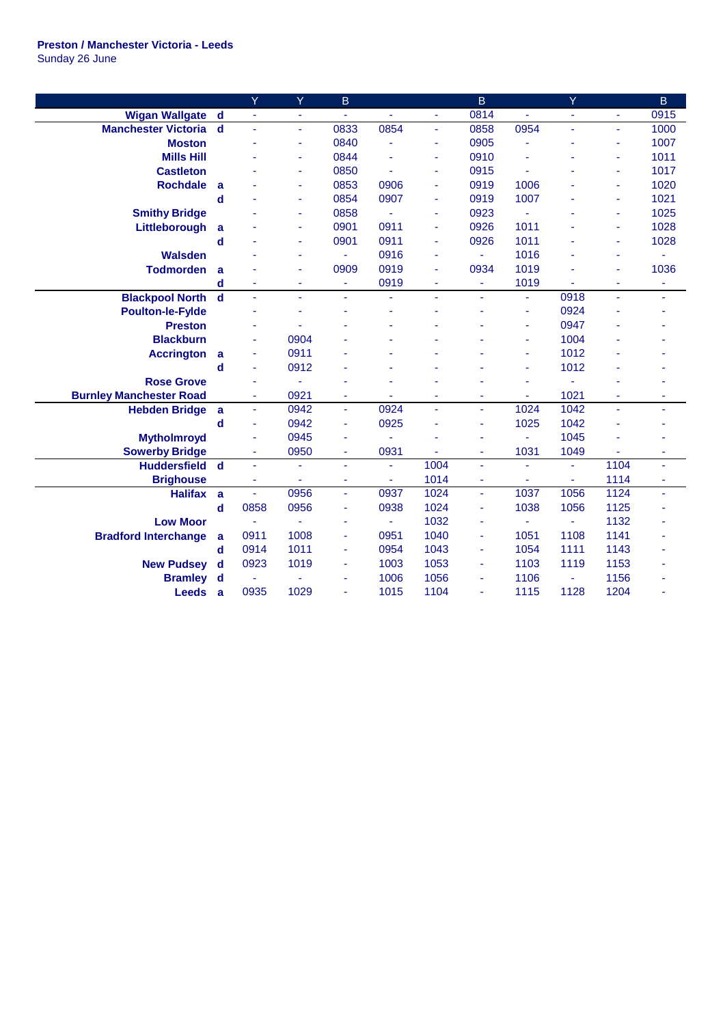## **Preston / Manchester Victoria - Leeds** Sunday 26 June

| 0814<br><b>Wigan Wallgate</b><br>0915<br>d<br>÷,<br>٠<br>$\blacksquare$<br>$\blacksquare$<br>÷<br>÷,<br>$\blacksquare$<br>$\blacksquare$<br>0854<br>0833<br>0858<br>0954<br>1000<br><b>Manchester Victoria</b><br>d<br>L,<br>ä,<br>ä,<br>Ξ<br>ä,<br>0905<br>1007<br>0840<br><b>Moston</b><br>L,<br>ä,<br>ä,<br>÷<br>۰<br>٠<br>0910<br>1011<br>0844<br><b>Mills Hill</b><br>i.<br>ä,<br>÷<br>÷<br>ä,<br>٠<br>0850<br>0915<br>1017<br><b>Castleton</b><br>÷.<br>ä,<br>ä,<br>÷<br>÷<br>0853<br>0906<br>0919<br>1006<br>1020<br><b>Rochdale</b><br>a<br>ä,<br>ä,<br>ä,<br>0907<br>1007<br>0854<br>0919<br>1021<br>d<br>ä,<br>ä,<br>ä,<br>0923<br>1025<br>0858<br><b>Smithy Bridge</b><br>$\omega$<br>L,<br>ä,<br>ä,<br>÷<br>1011<br>1028<br>0901<br>0911<br>0926<br>Littleborough<br>a<br>ä,<br>٠<br>ä,<br>0901<br>0911<br>0926<br>1011<br>1028<br>$\mathbf d$<br>ä,<br>ä,<br>ä,<br><b>Walsden</b><br>0916<br>1016<br>$\omega$<br>$\blacksquare$<br>ä,<br>ä,<br>ä,<br>ä,<br>ä,<br>0909<br>0919<br>0934<br>1019<br>1036<br><b>Todmorden</b><br>a<br>ä,<br>ä,<br>ä,<br>ä,<br>0919<br>1019<br>d<br>ä,<br>÷<br>$\blacksquare$<br>ä,<br>٠<br>٠<br>٠<br>٠<br><b>Blackpool North</b><br>$\mathbf d$<br>0918<br>ä,<br>ä,<br>L,<br>ä,<br>ä,<br>ä,<br>ä,<br>ä,<br>ä,<br>0924<br><b>Poulton-le-Fylde</b><br>ä,<br>÷,<br>0947<br><b>Preston</b><br>ä,<br><b>Blackburn</b><br>0904<br>1004<br>ä,<br>ä,<br>0911<br>1012<br><b>Accrington</b><br>a<br>ä,<br>ä,<br>1012<br>0912<br>d<br>$\sim$<br>ä,<br><b>Rose Grove</b><br>÷<br>ä<br>1021<br><b>Burnley Manchester Road</b><br>0921<br>÷<br>$\blacksquare$<br>ä,<br>٠<br>ä<br>٠<br>٠<br>÷<br>0942<br>0924<br>1024<br>1042<br><b>Hebden Bridge</b><br>a<br>ä,<br>$\blacksquare$<br>÷.<br>$\blacksquare$<br>ä,<br>ä,<br>0942<br>0925<br>1025<br>1042<br>$\mathbf d$<br>÷,<br>÷<br>÷,<br>L,<br>٠<br>1045<br>0945<br><b>Mytholmroyd</b><br>ä,<br>÷,<br>ä,<br>÷<br>٠<br>$\overline{\phantom{a}}$<br>0950<br>0931<br>1031<br>1049<br><b>Sowerby Bridge</b><br>ä,<br>$\blacksquare$<br>÷.<br>$\blacksquare$<br>Ξ<br>٠<br>1004<br>1104<br><b>Huddersfield</b><br>$\overline{\mathbf{d}}$<br>÷.<br>$\blacksquare$<br>÷.<br>ä,<br>ä,<br>$\blacksquare$<br>÷<br>٠<br>1014<br>1114<br><b>Brighouse</b><br>$\blacksquare$<br>ä,<br>÷.<br>÷,<br>ä,<br>ä,<br>ä,<br>$\blacksquare$<br>1037<br>1056<br>0956<br>0937<br>1024<br>1124<br><b>Halifax</b><br>$\omega$<br>a<br>÷.<br>ä,<br>÷.<br>$\mathbf d$<br>0858<br>0956<br>0938<br>1024<br>1038<br>1056<br>1125<br>$\blacksquare$<br>÷<br>1032<br><b>Low Moor</b><br>1132<br>$\blacksquare$<br>$\blacksquare$<br>$\blacksquare$<br>÷,<br>٠<br>٠<br>1008<br>0951<br>1040<br>1051<br>1108<br>1141<br><b>Bradford Interchange</b><br>0911<br>a<br>$\blacksquare$<br>$\blacksquare$ |             | Ÿ    | Ÿ    | B |      |      | $\overline{B}$ |      | Y    |      | B |
|----------------------------------------------------------------------------------------------------------------------------------------------------------------------------------------------------------------------------------------------------------------------------------------------------------------------------------------------------------------------------------------------------------------------------------------------------------------------------------------------------------------------------------------------------------------------------------------------------------------------------------------------------------------------------------------------------------------------------------------------------------------------------------------------------------------------------------------------------------------------------------------------------------------------------------------------------------------------------------------------------------------------------------------------------------------------------------------------------------------------------------------------------------------------------------------------------------------------------------------------------------------------------------------------------------------------------------------------------------------------------------------------------------------------------------------------------------------------------------------------------------------------------------------------------------------------------------------------------------------------------------------------------------------------------------------------------------------------------------------------------------------------------------------------------------------------------------------------------------------------------------------------------------------------------------------------------------------------------------------------------------------------------------------------------------------------------------------------------------------------------------------------------------------------------------------------------------------------------------------------------------------------------------------------------------------------------------------------------------------------------------------------------------------------------------------------------------------------------------------------------------------------------------------------------------------------------------------------------------------------------------------------------------------------------------------------------------------------------------------------|-------------|------|------|---|------|------|----------------|------|------|------|---|
|                                                                                                                                                                                                                                                                                                                                                                                                                                                                                                                                                                                                                                                                                                                                                                                                                                                                                                                                                                                                                                                                                                                                                                                                                                                                                                                                                                                                                                                                                                                                                                                                                                                                                                                                                                                                                                                                                                                                                                                                                                                                                                                                                                                                                                                                                                                                                                                                                                                                                                                                                                                                                                                                                                                                              |             |      |      |   |      |      |                |      |      |      |   |
|                                                                                                                                                                                                                                                                                                                                                                                                                                                                                                                                                                                                                                                                                                                                                                                                                                                                                                                                                                                                                                                                                                                                                                                                                                                                                                                                                                                                                                                                                                                                                                                                                                                                                                                                                                                                                                                                                                                                                                                                                                                                                                                                                                                                                                                                                                                                                                                                                                                                                                                                                                                                                                                                                                                                              |             |      |      |   |      |      |                |      |      |      |   |
|                                                                                                                                                                                                                                                                                                                                                                                                                                                                                                                                                                                                                                                                                                                                                                                                                                                                                                                                                                                                                                                                                                                                                                                                                                                                                                                                                                                                                                                                                                                                                                                                                                                                                                                                                                                                                                                                                                                                                                                                                                                                                                                                                                                                                                                                                                                                                                                                                                                                                                                                                                                                                                                                                                                                              |             |      |      |   |      |      |                |      |      |      |   |
|                                                                                                                                                                                                                                                                                                                                                                                                                                                                                                                                                                                                                                                                                                                                                                                                                                                                                                                                                                                                                                                                                                                                                                                                                                                                                                                                                                                                                                                                                                                                                                                                                                                                                                                                                                                                                                                                                                                                                                                                                                                                                                                                                                                                                                                                                                                                                                                                                                                                                                                                                                                                                                                                                                                                              |             |      |      |   |      |      |                |      |      |      |   |
|                                                                                                                                                                                                                                                                                                                                                                                                                                                                                                                                                                                                                                                                                                                                                                                                                                                                                                                                                                                                                                                                                                                                                                                                                                                                                                                                                                                                                                                                                                                                                                                                                                                                                                                                                                                                                                                                                                                                                                                                                                                                                                                                                                                                                                                                                                                                                                                                                                                                                                                                                                                                                                                                                                                                              |             |      |      |   |      |      |                |      |      |      |   |
|                                                                                                                                                                                                                                                                                                                                                                                                                                                                                                                                                                                                                                                                                                                                                                                                                                                                                                                                                                                                                                                                                                                                                                                                                                                                                                                                                                                                                                                                                                                                                                                                                                                                                                                                                                                                                                                                                                                                                                                                                                                                                                                                                                                                                                                                                                                                                                                                                                                                                                                                                                                                                                                                                                                                              |             |      |      |   |      |      |                |      |      |      |   |
|                                                                                                                                                                                                                                                                                                                                                                                                                                                                                                                                                                                                                                                                                                                                                                                                                                                                                                                                                                                                                                                                                                                                                                                                                                                                                                                                                                                                                                                                                                                                                                                                                                                                                                                                                                                                                                                                                                                                                                                                                                                                                                                                                                                                                                                                                                                                                                                                                                                                                                                                                                                                                                                                                                                                              |             |      |      |   |      |      |                |      |      |      |   |
|                                                                                                                                                                                                                                                                                                                                                                                                                                                                                                                                                                                                                                                                                                                                                                                                                                                                                                                                                                                                                                                                                                                                                                                                                                                                                                                                                                                                                                                                                                                                                                                                                                                                                                                                                                                                                                                                                                                                                                                                                                                                                                                                                                                                                                                                                                                                                                                                                                                                                                                                                                                                                                                                                                                                              |             |      |      |   |      |      |                |      |      |      |   |
|                                                                                                                                                                                                                                                                                                                                                                                                                                                                                                                                                                                                                                                                                                                                                                                                                                                                                                                                                                                                                                                                                                                                                                                                                                                                                                                                                                                                                                                                                                                                                                                                                                                                                                                                                                                                                                                                                                                                                                                                                                                                                                                                                                                                                                                                                                                                                                                                                                                                                                                                                                                                                                                                                                                                              |             |      |      |   |      |      |                |      |      |      |   |
|                                                                                                                                                                                                                                                                                                                                                                                                                                                                                                                                                                                                                                                                                                                                                                                                                                                                                                                                                                                                                                                                                                                                                                                                                                                                                                                                                                                                                                                                                                                                                                                                                                                                                                                                                                                                                                                                                                                                                                                                                                                                                                                                                                                                                                                                                                                                                                                                                                                                                                                                                                                                                                                                                                                                              |             |      |      |   |      |      |                |      |      |      |   |
|                                                                                                                                                                                                                                                                                                                                                                                                                                                                                                                                                                                                                                                                                                                                                                                                                                                                                                                                                                                                                                                                                                                                                                                                                                                                                                                                                                                                                                                                                                                                                                                                                                                                                                                                                                                                                                                                                                                                                                                                                                                                                                                                                                                                                                                                                                                                                                                                                                                                                                                                                                                                                                                                                                                                              |             |      |      |   |      |      |                |      |      |      |   |
|                                                                                                                                                                                                                                                                                                                                                                                                                                                                                                                                                                                                                                                                                                                                                                                                                                                                                                                                                                                                                                                                                                                                                                                                                                                                                                                                                                                                                                                                                                                                                                                                                                                                                                                                                                                                                                                                                                                                                                                                                                                                                                                                                                                                                                                                                                                                                                                                                                                                                                                                                                                                                                                                                                                                              |             |      |      |   |      |      |                |      |      |      |   |
|                                                                                                                                                                                                                                                                                                                                                                                                                                                                                                                                                                                                                                                                                                                                                                                                                                                                                                                                                                                                                                                                                                                                                                                                                                                                                                                                                                                                                                                                                                                                                                                                                                                                                                                                                                                                                                                                                                                                                                                                                                                                                                                                                                                                                                                                                                                                                                                                                                                                                                                                                                                                                                                                                                                                              |             |      |      |   |      |      |                |      |      |      |   |
|                                                                                                                                                                                                                                                                                                                                                                                                                                                                                                                                                                                                                                                                                                                                                                                                                                                                                                                                                                                                                                                                                                                                                                                                                                                                                                                                                                                                                                                                                                                                                                                                                                                                                                                                                                                                                                                                                                                                                                                                                                                                                                                                                                                                                                                                                                                                                                                                                                                                                                                                                                                                                                                                                                                                              |             |      |      |   |      |      |                |      |      |      |   |
|                                                                                                                                                                                                                                                                                                                                                                                                                                                                                                                                                                                                                                                                                                                                                                                                                                                                                                                                                                                                                                                                                                                                                                                                                                                                                                                                                                                                                                                                                                                                                                                                                                                                                                                                                                                                                                                                                                                                                                                                                                                                                                                                                                                                                                                                                                                                                                                                                                                                                                                                                                                                                                                                                                                                              |             |      |      |   |      |      |                |      |      |      |   |
|                                                                                                                                                                                                                                                                                                                                                                                                                                                                                                                                                                                                                                                                                                                                                                                                                                                                                                                                                                                                                                                                                                                                                                                                                                                                                                                                                                                                                                                                                                                                                                                                                                                                                                                                                                                                                                                                                                                                                                                                                                                                                                                                                                                                                                                                                                                                                                                                                                                                                                                                                                                                                                                                                                                                              |             |      |      |   |      |      |                |      |      |      |   |
|                                                                                                                                                                                                                                                                                                                                                                                                                                                                                                                                                                                                                                                                                                                                                                                                                                                                                                                                                                                                                                                                                                                                                                                                                                                                                                                                                                                                                                                                                                                                                                                                                                                                                                                                                                                                                                                                                                                                                                                                                                                                                                                                                                                                                                                                                                                                                                                                                                                                                                                                                                                                                                                                                                                                              |             |      |      |   |      |      |                |      |      |      |   |
|                                                                                                                                                                                                                                                                                                                                                                                                                                                                                                                                                                                                                                                                                                                                                                                                                                                                                                                                                                                                                                                                                                                                                                                                                                                                                                                                                                                                                                                                                                                                                                                                                                                                                                                                                                                                                                                                                                                                                                                                                                                                                                                                                                                                                                                                                                                                                                                                                                                                                                                                                                                                                                                                                                                                              |             |      |      |   |      |      |                |      |      |      |   |
|                                                                                                                                                                                                                                                                                                                                                                                                                                                                                                                                                                                                                                                                                                                                                                                                                                                                                                                                                                                                                                                                                                                                                                                                                                                                                                                                                                                                                                                                                                                                                                                                                                                                                                                                                                                                                                                                                                                                                                                                                                                                                                                                                                                                                                                                                                                                                                                                                                                                                                                                                                                                                                                                                                                                              |             |      |      |   |      |      |                |      |      |      |   |
|                                                                                                                                                                                                                                                                                                                                                                                                                                                                                                                                                                                                                                                                                                                                                                                                                                                                                                                                                                                                                                                                                                                                                                                                                                                                                                                                                                                                                                                                                                                                                                                                                                                                                                                                                                                                                                                                                                                                                                                                                                                                                                                                                                                                                                                                                                                                                                                                                                                                                                                                                                                                                                                                                                                                              |             |      |      |   |      |      |                |      |      |      |   |
|                                                                                                                                                                                                                                                                                                                                                                                                                                                                                                                                                                                                                                                                                                                                                                                                                                                                                                                                                                                                                                                                                                                                                                                                                                                                                                                                                                                                                                                                                                                                                                                                                                                                                                                                                                                                                                                                                                                                                                                                                                                                                                                                                                                                                                                                                                                                                                                                                                                                                                                                                                                                                                                                                                                                              |             |      |      |   |      |      |                |      |      |      |   |
|                                                                                                                                                                                                                                                                                                                                                                                                                                                                                                                                                                                                                                                                                                                                                                                                                                                                                                                                                                                                                                                                                                                                                                                                                                                                                                                                                                                                                                                                                                                                                                                                                                                                                                                                                                                                                                                                                                                                                                                                                                                                                                                                                                                                                                                                                                                                                                                                                                                                                                                                                                                                                                                                                                                                              |             |      |      |   |      |      |                |      |      |      |   |
|                                                                                                                                                                                                                                                                                                                                                                                                                                                                                                                                                                                                                                                                                                                                                                                                                                                                                                                                                                                                                                                                                                                                                                                                                                                                                                                                                                                                                                                                                                                                                                                                                                                                                                                                                                                                                                                                                                                                                                                                                                                                                                                                                                                                                                                                                                                                                                                                                                                                                                                                                                                                                                                                                                                                              |             |      |      |   |      |      |                |      |      |      |   |
|                                                                                                                                                                                                                                                                                                                                                                                                                                                                                                                                                                                                                                                                                                                                                                                                                                                                                                                                                                                                                                                                                                                                                                                                                                                                                                                                                                                                                                                                                                                                                                                                                                                                                                                                                                                                                                                                                                                                                                                                                                                                                                                                                                                                                                                                                                                                                                                                                                                                                                                                                                                                                                                                                                                                              |             |      |      |   |      |      |                |      |      |      |   |
|                                                                                                                                                                                                                                                                                                                                                                                                                                                                                                                                                                                                                                                                                                                                                                                                                                                                                                                                                                                                                                                                                                                                                                                                                                                                                                                                                                                                                                                                                                                                                                                                                                                                                                                                                                                                                                                                                                                                                                                                                                                                                                                                                                                                                                                                                                                                                                                                                                                                                                                                                                                                                                                                                                                                              |             |      |      |   |      |      |                |      |      |      |   |
|                                                                                                                                                                                                                                                                                                                                                                                                                                                                                                                                                                                                                                                                                                                                                                                                                                                                                                                                                                                                                                                                                                                                                                                                                                                                                                                                                                                                                                                                                                                                                                                                                                                                                                                                                                                                                                                                                                                                                                                                                                                                                                                                                                                                                                                                                                                                                                                                                                                                                                                                                                                                                                                                                                                                              |             |      |      |   |      |      |                |      |      |      |   |
|                                                                                                                                                                                                                                                                                                                                                                                                                                                                                                                                                                                                                                                                                                                                                                                                                                                                                                                                                                                                                                                                                                                                                                                                                                                                                                                                                                                                                                                                                                                                                                                                                                                                                                                                                                                                                                                                                                                                                                                                                                                                                                                                                                                                                                                                                                                                                                                                                                                                                                                                                                                                                                                                                                                                              |             |      |      |   |      |      |                |      |      |      |   |
|                                                                                                                                                                                                                                                                                                                                                                                                                                                                                                                                                                                                                                                                                                                                                                                                                                                                                                                                                                                                                                                                                                                                                                                                                                                                                                                                                                                                                                                                                                                                                                                                                                                                                                                                                                                                                                                                                                                                                                                                                                                                                                                                                                                                                                                                                                                                                                                                                                                                                                                                                                                                                                                                                                                                              |             |      |      |   |      |      |                |      |      |      |   |
|                                                                                                                                                                                                                                                                                                                                                                                                                                                                                                                                                                                                                                                                                                                                                                                                                                                                                                                                                                                                                                                                                                                                                                                                                                                                                                                                                                                                                                                                                                                                                                                                                                                                                                                                                                                                                                                                                                                                                                                                                                                                                                                                                                                                                                                                                                                                                                                                                                                                                                                                                                                                                                                                                                                                              |             |      |      |   |      |      |                |      |      |      |   |
|                                                                                                                                                                                                                                                                                                                                                                                                                                                                                                                                                                                                                                                                                                                                                                                                                                                                                                                                                                                                                                                                                                                                                                                                                                                                                                                                                                                                                                                                                                                                                                                                                                                                                                                                                                                                                                                                                                                                                                                                                                                                                                                                                                                                                                                                                                                                                                                                                                                                                                                                                                                                                                                                                                                                              |             |      |      |   |      |      |                |      |      |      |   |
|                                                                                                                                                                                                                                                                                                                                                                                                                                                                                                                                                                                                                                                                                                                                                                                                                                                                                                                                                                                                                                                                                                                                                                                                                                                                                                                                                                                                                                                                                                                                                                                                                                                                                                                                                                                                                                                                                                                                                                                                                                                                                                                                                                                                                                                                                                                                                                                                                                                                                                                                                                                                                                                                                                                                              |             |      |      |   |      |      |                |      |      |      |   |
| $\blacksquare$<br>$\blacksquare$                                                                                                                                                                                                                                                                                                                                                                                                                                                                                                                                                                                                                                                                                                                                                                                                                                                                                                                                                                                                                                                                                                                                                                                                                                                                                                                                                                                                                                                                                                                                                                                                                                                                                                                                                                                                                                                                                                                                                                                                                                                                                                                                                                                                                                                                                                                                                                                                                                                                                                                                                                                                                                                                                                             | $\mathbf d$ | 0914 | 1011 |   | 0954 | 1043 |                | 1054 | 1111 | 1143 |   |
| <b>New Pudsey</b><br>1003<br>1053<br>1103<br>1153<br>$\mathbf d$<br>0923<br>1019<br>1119<br>$\blacksquare$<br>$\blacksquare$                                                                                                                                                                                                                                                                                                                                                                                                                                                                                                                                                                                                                                                                                                                                                                                                                                                                                                                                                                                                                                                                                                                                                                                                                                                                                                                                                                                                                                                                                                                                                                                                                                                                                                                                                                                                                                                                                                                                                                                                                                                                                                                                                                                                                                                                                                                                                                                                                                                                                                                                                                                                                 |             |      |      |   |      |      |                |      |      |      |   |
| 1006<br>1056<br>1106<br>1156<br><b>Bramley</b><br>d<br>$\blacksquare$<br>$\sim$<br>$\blacksquare$                                                                                                                                                                                                                                                                                                                                                                                                                                                                                                                                                                                                                                                                                                                                                                                                                                                                                                                                                                                                                                                                                                                                                                                                                                                                                                                                                                                                                                                                                                                                                                                                                                                                                                                                                                                                                                                                                                                                                                                                                                                                                                                                                                                                                                                                                                                                                                                                                                                                                                                                                                                                                                            |             |      |      |   |      |      |                |      |      |      |   |
| 1029<br>1015<br>1104<br>1128<br>1204<br>0935<br>1115<br><b>Leeds</b><br>a<br>÷,<br>÷                                                                                                                                                                                                                                                                                                                                                                                                                                                                                                                                                                                                                                                                                                                                                                                                                                                                                                                                                                                                                                                                                                                                                                                                                                                                                                                                                                                                                                                                                                                                                                                                                                                                                                                                                                                                                                                                                                                                                                                                                                                                                                                                                                                                                                                                                                                                                                                                                                                                                                                                                                                                                                                         |             |      |      |   |      |      |                |      |      |      |   |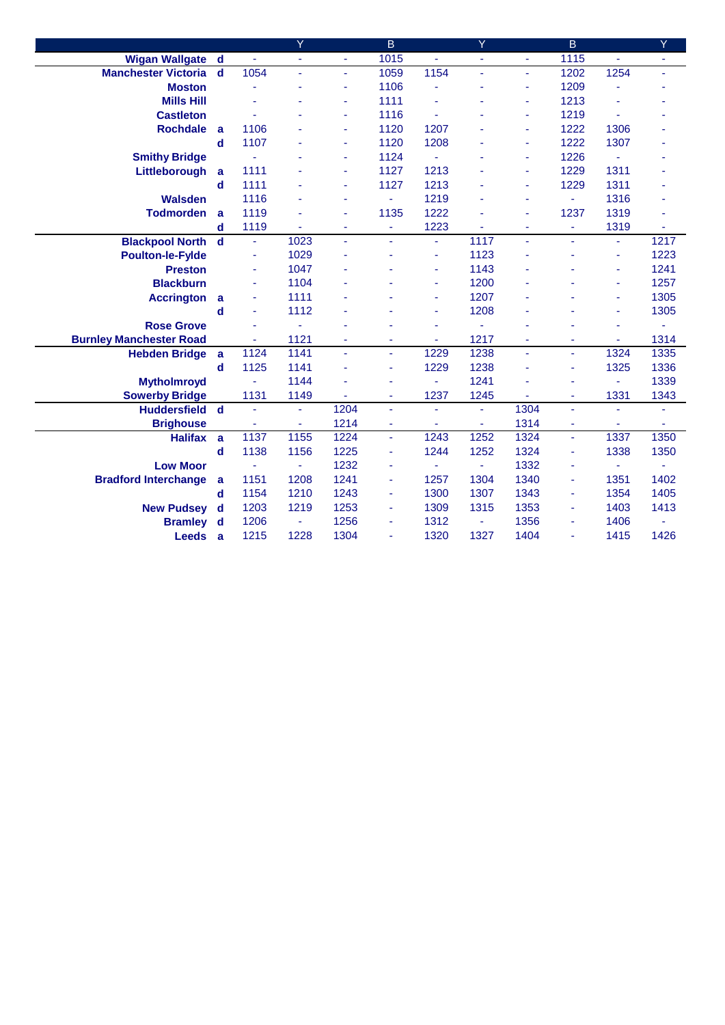|                                |                         |      | Y    |                          | B              |      | Y    |                | B              |      | Y    |
|--------------------------------|-------------------------|------|------|--------------------------|----------------|------|------|----------------|----------------|------|------|
| <b>Wigan Wallgate</b>          | $\mathbf d$             | ä,   | ä,   |                          | 1015           |      | ä,   | $\blacksquare$ | 1115           |      | ä,   |
| <b>Manchester Victoria</b>     | $\mathbf d$             | 1054 | ä,   | ÷.                       | 1059           | 1154 | ä,   | $\blacksquare$ | 1202           | 1254 | ä,   |
| <b>Moston</b>                  |                         |      | ä,   |                          | 1106           |      |      | ÷              | 1209           |      |      |
| <b>Mills Hill</b>              |                         |      | ä,   |                          | 1111           |      |      | ٠              | 1213           |      |      |
| <b>Castleton</b>               |                         |      |      | ٠                        | 1116           |      |      | ÷              | 1219           |      |      |
| <b>Rochdale</b>                | a                       | 1106 |      | ä,                       | 1120           | 1207 |      | ٠              | 1222           | 1306 |      |
|                                | d                       | 1107 |      | ä,                       | 1120           | 1208 |      | ٠              | 1222           | 1307 |      |
| <b>Smithy Bridge</b>           |                         | ä,   |      | ä,                       | 1124           |      |      | ٠              | 1226           | ÷    |      |
| Littleborough                  | a                       | 1111 |      | ä,                       | 1127           | 1213 |      | ÷,             | 1229           | 1311 |      |
|                                | $\mathbf d$             | 1111 |      |                          | 1127           | 1213 |      | ÷,             | 1229           | 1311 |      |
| <b>Walsden</b>                 |                         | 1116 | ä,   |                          | ä,             | 1219 |      | ÷,             | ÷              | 1316 |      |
| <b>Todmorden</b>               | a                       | 1119 | ä,   |                          | 1135           | 1222 |      | ÷,             | 1237           | 1319 | ä,   |
|                                | d                       | 1119 | ÷.   | $\overline{\phantom{a}}$ | $\blacksquare$ | 1223 |      | ٠              | ٠              | 1319 | ٠    |
| <b>Blackpool North</b>         | $\mathbf d$             | ä,   | 1023 | ä,                       | ä,             | ÷    | 1117 | ä,             |                | ä,   | 1217 |
| <b>Poulton-le-Fylde</b>        |                         | ÷    | 1029 |                          |                | ٠    | 1123 |                |                | ä,   | 1223 |
| <b>Preston</b>                 |                         | ä,   | 1047 |                          |                |      | 1143 |                |                | Ξ    | 1241 |
| <b>Blackburn</b>               |                         | ä,   | 1104 |                          |                |      | 1200 |                |                | ٠    | 1257 |
| <b>Accrington</b>              | a                       | ä,   | 1111 |                          |                | ٠    | 1207 |                |                | ٠    | 1305 |
|                                | d                       | ä,   | 1112 |                          |                | ٠    | 1208 | ä,             |                | ä,   | 1305 |
| <b>Rose Grove</b>              |                         |      | ä,   |                          |                |      | ä,   | ä,             |                | ٠    | ä,   |
| <b>Burnley Manchester Road</b> |                         | ä,   | 1121 | ÷                        | $\blacksquare$ | ٠    | 1217 | ٠              |                | ٠    | 1314 |
| <b>Hebden Bridge</b>           | a                       | 1124 | 1141 | ÷.                       | $\blacksquare$ | 1229 | 1238 | $\blacksquare$ | ÷              | 1324 | 1335 |
|                                | $\mathbf d$             | 1125 | 1141 |                          | $\blacksquare$ | 1229 | 1238 |                | ٠              | 1325 | 1336 |
| <b>Mytholmroyd</b>             |                         | ä,   | 1144 |                          | ÷              | ٠    | 1241 |                | ÷              | ä,   | 1339 |
| <b>Sowerby Bridge</b>          |                         | 1131 | 1149 |                          | $\blacksquare$ | 1237 | 1245 |                | $\blacksquare$ | 1331 | 1343 |
| <b>Huddersfield</b>            | $\overline{\mathbf{d}}$ |      | ٠    | 1204                     | $\blacksquare$ | ä,   | ÷    | 1304           | ä,             |      | ÷    |
| <b>Brighouse</b>               |                         |      | ÷    | 1214                     | ä,             |      | ä,   | 1314           | $\blacksquare$ | ä,   | ÷    |
| <b>Halifax</b>                 | a                       | 1137 | 1155 | 1224                     | ä,             | 1243 | 1252 | 1324           | ÷.             | 1337 | 1350 |
|                                | d                       | 1138 | 1156 | 1225                     | ÷              | 1244 | 1252 | 1324           | ٠              | 1338 | 1350 |
| <b>Low Moor</b>                |                         |      |      | 1232                     | ä,             |      | ä,   | 1332           |                | ä,   |      |
| <b>Bradford Interchange</b>    | a                       | 1151 | 1208 | 1241                     | $\blacksquare$ | 1257 | 1304 | 1340           | ٠              | 1351 | 1402 |
|                                | d                       | 1154 | 1210 | 1243                     | ä,             | 1300 | 1307 | 1343           |                | 1354 | 1405 |
| <b>New Pudsey</b>              | $\mathbf d$             | 1203 | 1219 | 1253                     | $\blacksquare$ | 1309 | 1315 | 1353           | ٠              | 1403 | 1413 |
| <b>Bramley</b>                 | $\mathbf d$             | 1206 | ÷    | 1256                     | ÷              | 1312 | ÷    | 1356           | $\blacksquare$ | 1406 |      |
| <b>Leeds</b>                   | $\mathbf{a}$            | 1215 | 1228 | 1304                     | ÷              | 1320 | 1327 | 1404           | $\blacksquare$ | 1415 | 1426 |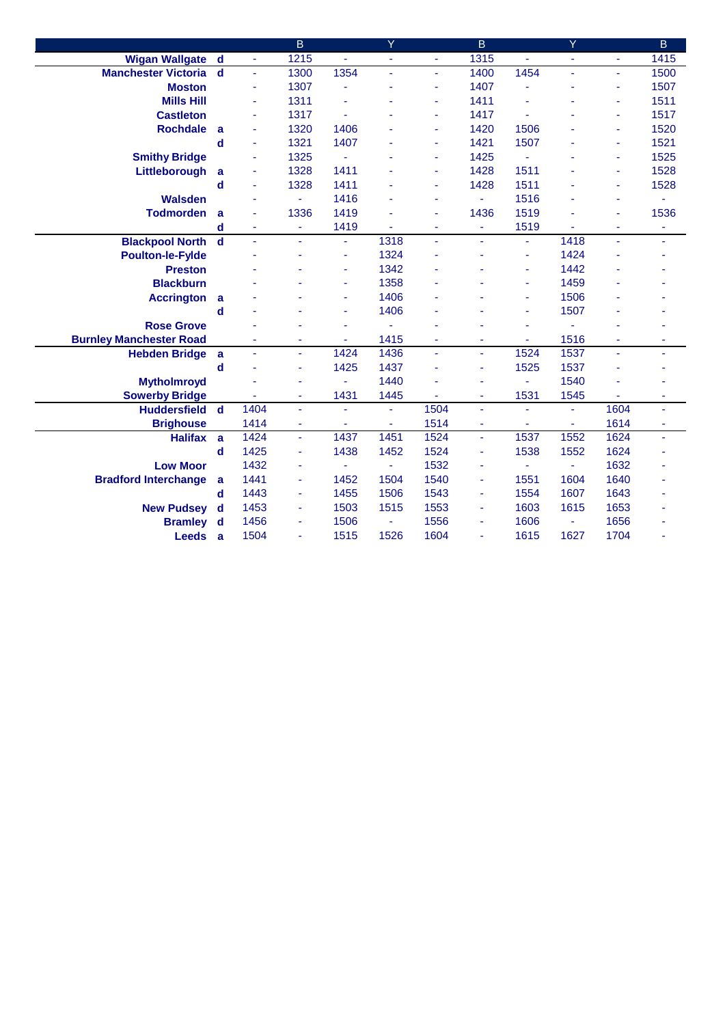|                                |                         |                | B              |                | Ÿ    |                | B    |                          | Ÿ              |      | B    |
|--------------------------------|-------------------------|----------------|----------------|----------------|------|----------------|------|--------------------------|----------------|------|------|
| <b>Wigan Wallgate</b>          | $\mathbf d$             | $\blacksquare$ | 1215           | u.             | ä,   | ÷.             | 1315 | ä,                       | $\blacksquare$ | ÷.   | 1415 |
| <b>Manchester Victoria</b>     | $\overline{\mathbf{d}}$ | ä              | 1300           | 1354           |      | ä,             | 1400 | 1454                     |                | ä,   | 1500 |
| <b>Moston</b>                  |                         | ä,             | 1307           |                |      | ٠              | 1407 |                          |                | ٠    | 1507 |
| <b>Mills Hill</b>              |                         | ä,             | 1311           |                |      |                | 1411 |                          |                | ٠    | 1511 |
| <b>Castleton</b>               |                         | ٠              | 1317           |                |      |                | 1417 |                          |                | ٠    | 1517 |
| <b>Rochdale</b>                | a                       | ä,             | 1320           | 1406           |      | ۰              | 1420 | 1506                     |                | ÷    | 1520 |
|                                | d                       | ä,             | 1321           | 1407           |      | ۰              | 1421 | 1507                     |                | ٠    | 1521 |
| <b>Smithy Bridge</b>           |                         | ٠              | 1325           | ä,             |      | ٠              | 1425 | ä,                       |                | ÷    | 1525 |
| Littleborough                  | a                       | ٠              | 1328           | 1411           |      | ۰              | 1428 | 1511                     |                | ٠    | 1528 |
|                                | $\mathbf d$             | ä,             | 1328           | 1411           |      | ÷              | 1428 | 1511                     |                | ä,   | 1528 |
| <b>Walsden</b>                 |                         | ä,             | ÷.             | 1416           |      | ٠              | ä,   | 1516                     |                | ٠    | ÷    |
| <b>Todmorden</b>               | a                       | ä,             | 1336           | 1419           |      | ä,             | 1436 | 1519                     |                | ä,   | 1536 |
|                                | $\mathbf d$             | ÷              | ٠              | 1419           | ä,   | $\blacksquare$ | ä,   | 1519                     |                | ä,   | ٠    |
| <b>Blackpool North</b>         | $\mathbf d$             | L,             | ä,             | L,             | 1318 | ä,             | ä,   | ä,                       | 1418           |      | ä,   |
| <b>Poulton-le-Fylde</b>        |                         |                | ٠              | ä,             | 1324 |                |      | $\overline{\phantom{a}}$ | 1424           |      |      |
| <b>Preston</b>                 |                         |                |                |                | 1342 |                |      | ä,                       | 1442           |      |      |
| <b>Blackburn</b>               |                         |                |                |                | 1358 |                |      | ä,                       | 1459           |      |      |
| <b>Accrington</b>              | a                       |                |                | ä,             | 1406 |                |      | ٠                        | 1506           |      |      |
|                                | d                       |                |                |                | 1406 |                |      | ÷                        | 1507           |      |      |
| <b>Rose Grove</b>              |                         |                | ä,             |                | ä,   | ٠              |      | ä,                       |                |      |      |
| <b>Burnley Manchester Road</b> |                         | ä,             | ٠              | $\blacksquare$ | 1415 | $\blacksquare$ | ä,   | ٠                        | 1516           | ÷.   | ۰    |
| <b>Hebden Bridge</b>           | a                       | ä,             | ÷.             | 1424           | 1436 | ä,             | ä,   | 1524                     | 1537           | ä,   | ÷    |
|                                | $\mathbf d$             |                | ÷              | 1425           | 1437 | ä              | ä,   | 1525                     | 1537           |      |      |
| <b>Mytholmroyd</b>             |                         |                | ä,             | ä,             | 1440 |                | ä,   | $\blacksquare$           | 1540           |      |      |
| <b>Sowerby Bridge</b>          |                         |                | ٠              | 1431           | 1445 |                | ÷    | 1531                     | 1545           |      | ۰    |
| <b>Huddersfield</b>            | $\mathbf d$             | 1404           | $\blacksquare$ |                | ä,   | 1504           | ä,   | ä,                       | ä,             | 1604 | ÷    |
| <b>Brighouse</b>               |                         | 1414           | ٠              |                | ÷,   | 1514           | ÷    |                          |                | 1614 | ٠    |
| <b>Halifax</b>                 | a                       | 1424           | $\omega$       | 1437           | 1451 | 1524           | ä,   | 1537                     | 1552           | 1624 | ÷.   |
|                                | $\mathbf d$             | 1425           | ÷              | 1438           | 1452 | 1524           | ÷    | 1538                     | 1552           | 1624 |      |
| <b>Low Moor</b>                |                         | 1432           | ä,             |                | ä,   | 1532           | ä,   | $\omega$                 |                | 1632 |      |
| <b>Bradford Interchange</b>    | a                       | 1441           | ٠              | 1452           | 1504 | 1540           | ٠    | 1551                     | 1604           | 1640 |      |
|                                | $\mathbf d$             | 1443           | ÷              | 1455           | 1506 | 1543           | ä,   | 1554                     | 1607           | 1643 |      |
| <b>New Pudsey</b>              | d                       | 1453           | $\blacksquare$ | 1503           | 1515 | 1553           | ä,   | 1603                     | 1615           | 1653 |      |
| <b>Bramley</b>                 | d                       | 1456           | ٠              | 1506           | ä,   | 1556           | ä,   | 1606                     | $\blacksquare$ | 1656 |      |
| <b>Leeds</b>                   | a                       | 1504           | ä,             | 1515           | 1526 | 1604           | ä,   | 1615                     | 1627           | 1704 | ٠    |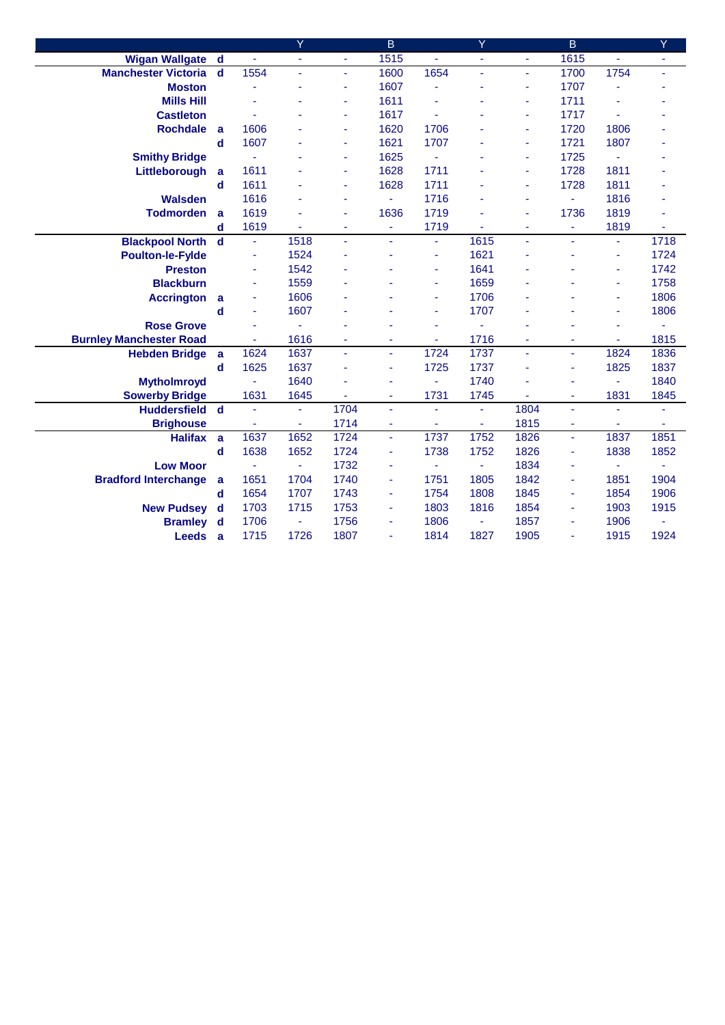|                                |                         |      | Y    |                | B              |      | Y    |                          | B              |      | Y    |
|--------------------------------|-------------------------|------|------|----------------|----------------|------|------|--------------------------|----------------|------|------|
| <b>Wigan Wallgate</b>          | $\mathbf d$             | ä,   | ä,   |                | 1515           |      | ä,   | $\blacksquare$           | 1615           |      | ä,   |
| <b>Manchester Victoria</b>     | $\mathbf d$             | 1554 | ä,   | ÷              | 1600           | 1654 | ä,   | $\blacksquare$           | 1700           | 1754 | ä,   |
| <b>Moston</b>                  |                         |      |      |                | 1607           |      |      | ÷                        | 1707           |      |      |
| <b>Mills Hill</b>              |                         |      | ÷    |                | 1611           |      |      | ٠                        | 1711           |      |      |
| <b>Castleton</b>               |                         |      |      | ٠              | 1617           |      |      | ٠                        | 1717           |      |      |
| <b>Rochdale</b>                | a                       | 1606 |      | ÷              | 1620           | 1706 |      | ٠                        | 1720           | 1806 |      |
|                                | d                       | 1607 |      | ÷              | 1621           | 1707 |      | ٠                        | 1721           | 1807 |      |
| <b>Smithy Bridge</b>           |                         |      |      | ä,             | 1625           |      |      | ٠                        | 1725           | ÷    |      |
| Littleborough                  | a                       | 1611 |      | ٠              | 1628           | 1711 |      | ÷,                       | 1728           | 1811 |      |
|                                | d                       | 1611 |      |                | 1628           | 1711 |      | ٠                        | 1728           | 1811 |      |
| <b>Walsden</b>                 |                         | 1616 | ä,   |                | ä,             | 1716 |      | ÷,                       | ÷.             | 1816 |      |
| <b>Todmorden</b>               | a                       | 1619 | ä,   |                | 1636           | 1719 |      | $\overline{\phantom{a}}$ | 1736           | 1819 | ä,   |
|                                | d                       | 1619 | ä,   | $\blacksquare$ | ÷              | 1719 |      | ٠                        | $\blacksquare$ | 1819 | ä,   |
| <b>Blackpool North</b>         | $\mathbf d$             | ä,   | 1518 |                |                | ÷    | 1615 | ÷,                       |                | ä,   | 1718 |
| <b>Poulton-le-Fylde</b>        |                         | ٠    | 1524 |                |                | ٠    | 1621 |                          |                | ٠    | 1724 |
| <b>Preston</b>                 |                         | ÷    | 1542 |                |                |      | 1641 |                          |                | Ξ    | 1742 |
| <b>Blackburn</b>               |                         | ä,   | 1559 |                |                |      | 1659 |                          |                | ٠    | 1758 |
| <b>Accrington</b>              | a                       | ÷    | 1606 |                |                | ٠    | 1706 |                          |                | ٠    | 1806 |
|                                | d                       | ä,   | 1607 |                |                | ٠    | 1707 |                          |                | ä,   | 1806 |
| <b>Rose Grove</b>              |                         |      |      |                |                |      |      |                          |                | ٠    | ä,   |
| <b>Burnley Manchester Road</b> |                         | ä,   | 1616 | $\blacksquare$ | ٠              | ٠    | 1716 | ٠                        |                | ٠    | 1815 |
| <b>Hebden Bridge</b>           | a                       | 1624 | 1637 | ÷.             | $\blacksquare$ | 1724 | 1737 | $\blacksquare$           | ÷              | 1824 | 1836 |
|                                | $\mathbf d$             | 1625 | 1637 |                | $\blacksquare$ | 1725 | 1737 |                          | ٠              | 1825 | 1837 |
| <b>Mytholmroyd</b>             |                         | ä,   | 1640 |                | ä,             | ٠    | 1740 |                          | ÷              | ä,   | 1840 |
| <b>Sowerby Bridge</b>          |                         | 1631 | 1645 |                | $\blacksquare$ | 1731 | 1745 |                          | $\blacksquare$ | 1831 | 1845 |
| <b>Huddersfield</b>            | $\overline{\mathbf{d}}$ |      | ٠    | 1704           | $\blacksquare$ |      | ÷    | 1804                     | ä,             |      | ÷    |
| <b>Brighouse</b>               |                         |      | ä,   | 1714           | ä,             |      | ä,   | 1815                     |                | ä,   | ÷    |
| <b>Halifax</b>                 | a                       | 1637 | 1652 | 1724           | ä,             | 1737 | 1752 | 1826                     | ÷              | 1837 | 1851 |
|                                | d                       | 1638 | 1652 | 1724           | ä,             | 1738 | 1752 | 1826                     | ٠              | 1838 | 1852 |
| <b>Low Moor</b>                |                         |      |      | 1732           | ä,             |      | ä,   | 1834                     |                | ä,   |      |
| <b>Bradford Interchange</b>    | a                       | 1651 | 1704 | 1740           | $\blacksquare$ | 1751 | 1805 | 1842                     | ٠              | 1851 | 1904 |
|                                | d                       | 1654 | 1707 | 1743           | Ξ              | 1754 | 1808 | 1845                     |                | 1854 | 1906 |
| <b>New Pudsey</b>              | $\mathbf d$             | 1703 | 1715 | 1753           | $\blacksquare$ | 1803 | 1816 | 1854                     | ٠              | 1903 | 1915 |
| <b>Bramley</b>                 | $\mathbf d$             | 1706 | ÷    | 1756           | ÷              | 1806 | ÷    | 1857                     | $\blacksquare$ | 1906 | ÷    |
| <b>Leeds</b>                   | $\mathbf{a}$            | 1715 | 1726 | 1807           | $\blacksquare$ | 1814 | 1827 | 1905                     | $\blacksquare$ | 1915 | 1924 |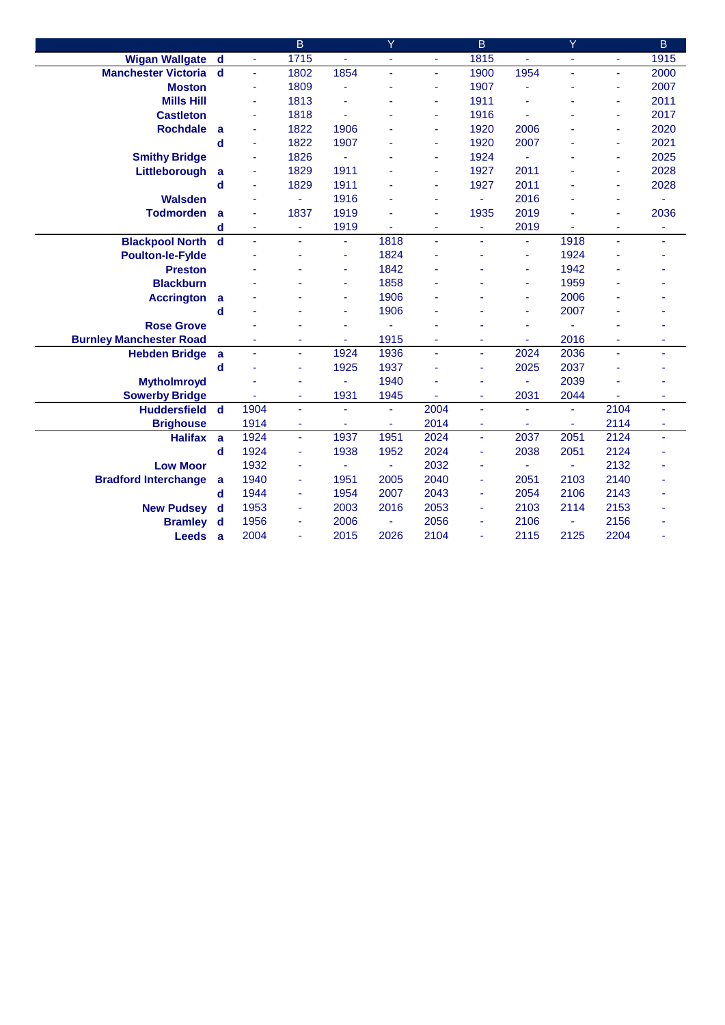|                                |              |      | B              |                | Ÿ    |                | $\overline{B}$ |                          | Ÿ    |      | B            |
|--------------------------------|--------------|------|----------------|----------------|------|----------------|----------------|--------------------------|------|------|--------------|
| <b>Wigan Wallgate</b>          | $\mathbf d$  | ä,   | 1715           | ä,             | ä,   | ÷.             | 1815           | $\omega$                 | ä,   | ä,   | 1915         |
| <b>Manchester Victoria</b>     | $\mathbf d$  | ä,   | 1802           | 1854           |      | ä,             | 1900           | 1954                     |      | ä,   | 2000         |
| <b>Moston</b>                  |              | ä,   | 1809           |                |      |                | 1907           |                          |      | ٠    | 2007         |
| <b>Mills Hill</b>              |              | ÷    | 1813           |                |      |                | 1911           |                          |      | ٠    | 2011         |
| <b>Castleton</b>               |              | ÷    | 1818           |                |      |                | 1916           |                          |      | ÷    | 2017         |
| <b>Rochdale</b>                | a            | ÷    | 1822           | 1906           |      | $\blacksquare$ | 1920           | 2006                     |      | ٠    | 2020         |
|                                | d            | ÷    | 1822           | 1907           |      | ٠              | 1920           | 2007                     |      | ÷    | 2021         |
| <b>Smithy Bridge</b>           |              | ä,   | 1826           | ä,             |      | ٠              | 1924           | ä,                       |      | ٠    | 2025         |
| Littleborough                  | a            | ÷    | 1829           | 1911           |      |                | 1927           | 2011                     |      | ٠    | 2028         |
|                                | d            | ä,   | 1829           | 1911           |      |                | 1927           | 2011                     |      | ÷    | 2028         |
| <b>Walsden</b>                 |              | ٠    | ÷.             | 1916           |      | ٠              | ÷,             | 2016                     |      | ٠    |              |
| <b>Todmorden</b>               | a            | ٠    | 1837           | 1919           |      | ÷              | 1935           | 2019                     |      | ÷    | 2036         |
|                                | d            | ٠    | ٠              | 1919           | ä,   | ÷              | ä,             | 2019                     |      | ä,   | ٠            |
| <b>Blackpool North</b>         | $\mathbf d$  |      | ä,             | ä,             | 1818 | ÷              | ä,             | $\overline{\phantom{a}}$ | 1918 |      | ÷            |
| <b>Poulton-le-Fylde</b>        |              |      | ä,             | ä,             | 1824 |                |                | ÷,                       | 1924 |      |              |
| <b>Preston</b>                 |              |      |                |                | 1842 |                |                | ٠                        | 1942 |      |              |
| <b>Blackburn</b>               |              |      |                |                | 1858 |                |                | ÷,                       | 1959 |      |              |
| <b>Accrington</b>              | a            |      |                |                | 1906 |                |                | ٠                        | 2006 |      |              |
|                                | $\mathbf d$  |      |                | ä,             | 1906 |                |                | ä,                       | 2007 |      |              |
| <b>Rose Grove</b>              |              |      |                |                | ä,   |                |                | ä,                       |      |      |              |
| <b>Burnley Manchester Road</b> |              | ÷    | ٠              | $\blacksquare$ | 1915 | ٠              | ٠              | ٠                        | 2016 | ٠    | ٠            |
| <b>Hebden Bridge</b>           | a            | ä,   | ÷.             | 1924           | 1936 | ä,             | ä,             | 2024                     | 2036 | ä,   | ÷            |
|                                | d            |      | ÷              | 1925           | 1937 |                | ä,             | 2025                     | 2037 |      |              |
| <b>Mytholmroyd</b>             |              |      | ÷              | ä,             | 1940 |                | ä,             | ÷.                       | 2039 |      |              |
| <b>Sowerby Bridge</b>          |              |      | ٠              | 1931           | 1945 |                | ä,             | 2031                     | 2044 |      | ۰            |
| <b>Huddersfield</b>            | $\mathbf d$  | 1904 | ٠              | ÷,             | ä,   | 2004           | ä,             | $\blacksquare$           | ÷    | 2104 | ٠            |
| <b>Brighouse</b>               |              | 1914 | ٠              |                | ÷.   | 2014           | ä,             | ä,                       | ÷    | 2114 | ٠            |
| <b>Halifax</b>                 | a            | 1924 | $\blacksquare$ | 1937           | 1951 | 2024           | ä              | 2037                     | 2051 | 2124 | $\mathbf{r}$ |
|                                | d            | 1924 | ٠              | 1938           | 1952 | 2024           | ä,             | 2038                     | 2051 | 2124 |              |
| <b>Low Moor</b>                |              | 1932 | ٠              |                | ä,   | 2032           | ÷              | ٠                        |      | 2132 |              |
| <b>Bradford Interchange</b>    | a            | 1940 | ٠              | 1951           | 2005 | 2040           | ä,             | 2051                     | 2103 | 2140 |              |
|                                | d            | 1944 | ٠              | 1954           | 2007 | 2043           | ÷              | 2054                     | 2106 | 2143 |              |
| <b>New Pudsey</b>              | d            | 1953 | ٠              | 2003           | 2016 | 2053           | ä,             | 2103                     | 2114 | 2153 |              |
| <b>Bramley</b>                 | $\mathbf d$  | 1956 | ٠              | 2006           | ä,   | 2056           | ä,             | 2106                     | ٠    | 2156 |              |
| <b>Leeds</b>                   | $\mathbf{a}$ | 2004 | ٠              | 2015           | 2026 | 2104           | ä,             | 2115                     | 2125 | 2204 |              |